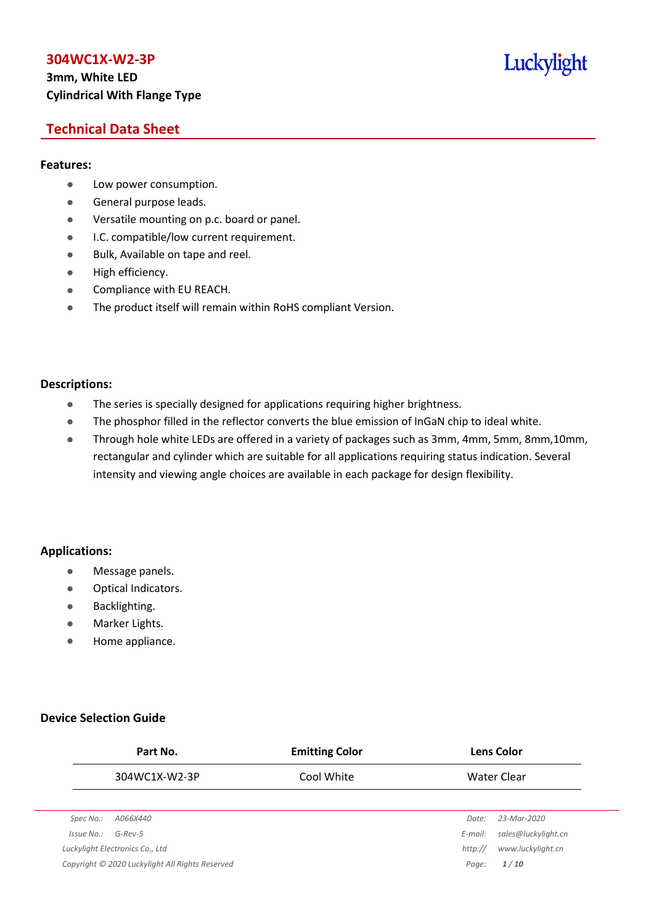## **3mm, White LED Cylindrical With Flange Type**

## Luckylight

## **Technical Data Sheet**

#### **Features:**

- **•** Low power consumption.
- **General purpose leads.**
- Versatile mounting on p.c. board or panel.
- **I.C. compatible/low current requirement.**
- Bulk, Available on tape and reel.
- $\bullet$  High efficiency.
- **•** Compliance with EU REACH.
- The product itself will remain within RoHS compliant Version.

#### **Descriptions:**

- The series is specially designed for applications requiring higher brightness.
- The phosphor filled in the reflector converts the blue emission of InGaN chip to ideal white.
- Through hole white LEDs are offered in a variety of packages such as 3mm, 4mm, 5mm, 8mm,10mm, rectangular and cylinder which are suitable for all applications requiring status indication. Several intensity and viewing angle choices are available in each package for design flexibility.

#### **Applications:**

- **•** Message panels.
- Optical Indicators.
- Backlighting.
- Marker Lights.
- Home appliance.

#### **Device Selection Guide**

|            | Part No.                                        | <b>Emitting Color</b> |         | <b>Lens Color</b>   |
|------------|-------------------------------------------------|-----------------------|---------|---------------------|
|            | 304WC1X-W2-3P                                   | Cool White            |         | <b>Water Clear</b>  |
|            |                                                 |                       |         |                     |
| Spec No.:  | A066X440                                        |                       | Date:   | 23-Mar-2020         |
| Issue No.: | $G$ -Rev-5                                      |                       | E-mail: | sales@luckylight.cn |
|            | Luckylight Electronics Co., Ltd                 |                       | http:// | www.luckylight.cn   |
|            | Copyright © 2020 Luckylight All Rights Reserved |                       | Page:   | 1/10                |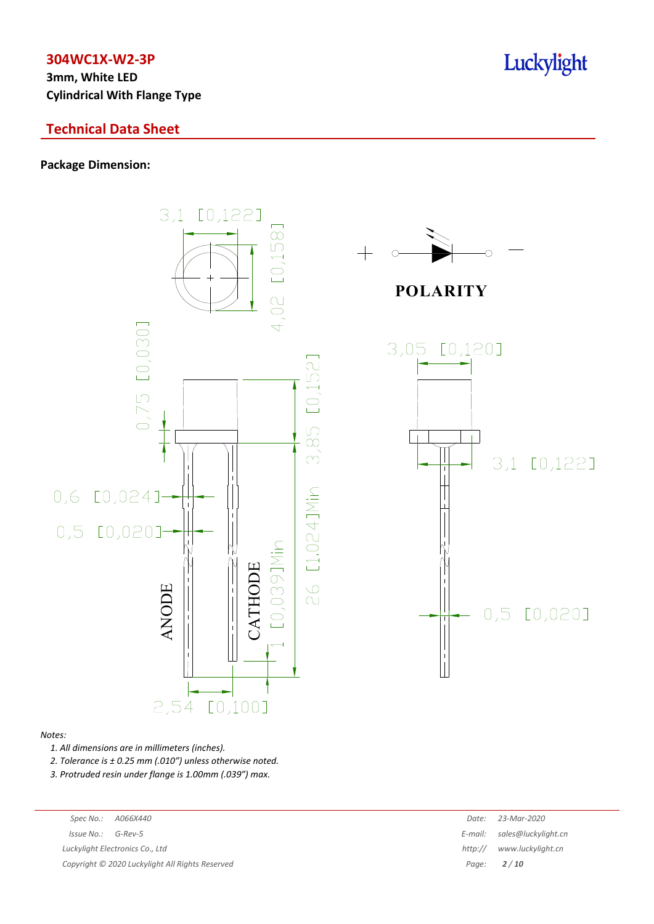**3mm, White LED Cylindrical With Flange Type**

## **Technical Data Sheet**

#### **Package Dimension:**



#### *Notes:*

*1. All dimensions are in millimeters (inches).*

*2. Tolerance is ± 0.25 mm (.010″) unless otherwise noted.*

*3. Protruded resin under flange is 1.00mm (.039″) max.*

| Spec No.:             | A066X440                                        | Date:   | 23-Mar-2020                 |
|-----------------------|-------------------------------------------------|---------|-----------------------------|
| $Is sue No.: G-Rev-5$ |                                                 |         | E-mail: sales@luckylight.cn |
|                       | Luckylight Electronics Co., Ltd                 | http:// | www.luckylight.cn           |
|                       | Copyright © 2020 Luckylight All Rights Reserved |         | Page: $2/10$                |
|                       |                                                 |         |                             |

## Luckylight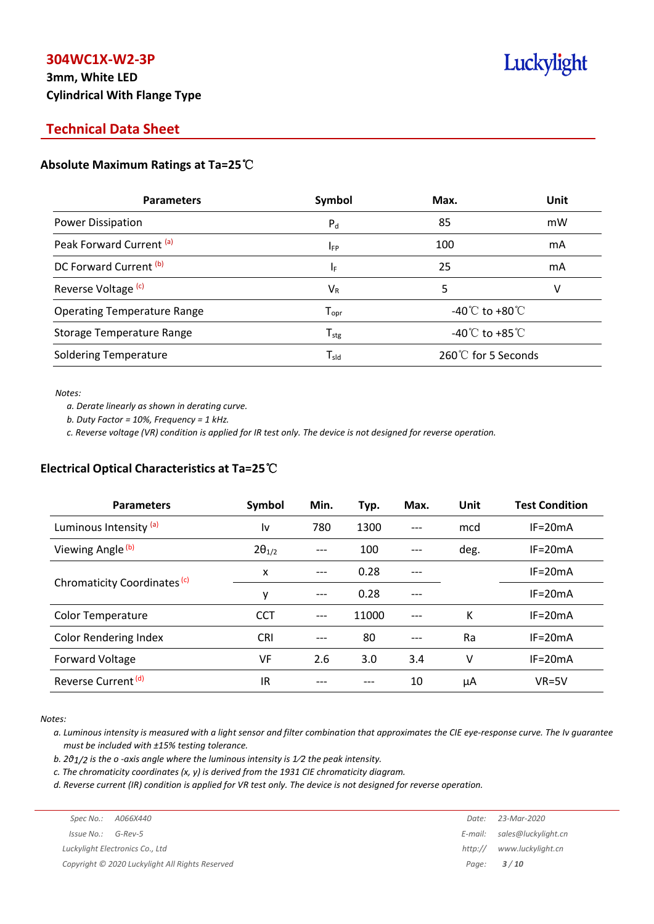## **3mm, White LED Cylindrical With Flange Type**

# Luckylight

## **Technical Data Sheet**

#### **Absolute Maximum Ratings at Ta=25**℃

| <b>Parameters</b>                  | Symbol                       | Max.                                 | <b>Unit</b> |
|------------------------------------|------------------------------|--------------------------------------|-------------|
| Power Dissipation                  | $P_{d}$                      | 85                                   | mW          |
| Peak Forward Current (a)           | $I_{FP}$                     | 100                                  | mA          |
| DC Forward Current (b)             | ΙF                           | 25                                   | mA          |
| Reverse Voltage <sup>(c)</sup>     | $V_{R}$                      | 5                                    | v           |
| <b>Operating Temperature Range</b> | ${\mathsf T}_{\textsf{opr}}$ | -40 $^{\circ}$ C to +80 $^{\circ}$ C |             |
| <b>Storage Temperature Range</b>   | ${\mathsf T}_{\text{stg}}$   | -40 $^{\circ}$ C to +85 $^{\circ}$ C |             |
| <b>Soldering Temperature</b>       | $\mathsf{T}_{\mathsf{sld}}$  | 260℃ for 5 Seconds                   |             |

*Notes:*

*a. Derate linearly as shown in derating curve.*

*b. Duty Factor = 10%, Frequency = 1 kHz.*

c. Reverse voltage (VR) condition is applied for IR test only. The device is not designed for reverse operation.

#### **Electrical Optical Characteristics at Ta=25**℃

| <b>Parameters</b>                       | Symbol          | Min.  | Typ.  | Max.  | Unit | <b>Test Condition</b> |
|-----------------------------------------|-----------------|-------|-------|-------|------|-----------------------|
| Luminous Intensity (a)                  | ١v              | 780   | 1300  | $---$ | mcd  | $IF = 20mA$           |
| Viewing Angle <sup>(b)</sup>            | $2\theta_{1/2}$ |       | 100   |       | deg. | $IF = 20mA$           |
|                                         | x               | $---$ | 0.28  |       |      | $IF = 20mA$           |
| Chromaticity Coordinates <sup>(c)</sup> | y               | ---   | 0.28  | $---$ |      | $IF = 20mA$           |
| <b>Color Temperature</b>                | <b>CCT</b>      | ---   | 11000 |       | K    | $IF = 20mA$           |
| <b>Color Rendering Index</b>            | <b>CRI</b>      |       | 80    |       | Ra   | $IF = 20mA$           |
| Forward Voltage                         | VF              | 2.6   | 3.0   | 3.4   | v    | $IF = 20mA$           |
| Reverse Current <sup>(d)</sup>          | IR              |       |       | 10    | μA   | $VR=5V$               |

*Notes:*

a. Luminous intensity is measured with a light sensor and filter combination that approximates the CIE eye-response curve. The Iv guarantee *must be included with ±15% testing tolerance.*

*b. 2θ1/2 is the o -axis angle where the luminous intensity is 1⁄2 the peak intensity.*

*c. The chromaticity coordinates (x, y) is derived from the 1931 CIE chromaticity diagram.*

d. Reverse current (IR) condition is applied for VR test only. The device is not designed for reverse operation.

|                        |                                                 | Date:   | 23-Mar-2020                 |
|------------------------|-------------------------------------------------|---------|-----------------------------|
| $Is sue No.:  G-Rev-5$ |                                                 |         | E-mail: sales@luckylight.cn |
|                        | Luckylight Electronics Co., Ltd                 | http:// | www.luckylight.cn           |
|                        | Copyright © 2020 Luckylight All Rights Reserved |         | Page: <b>3/10</b>           |
|                        |                                                 |         |                             |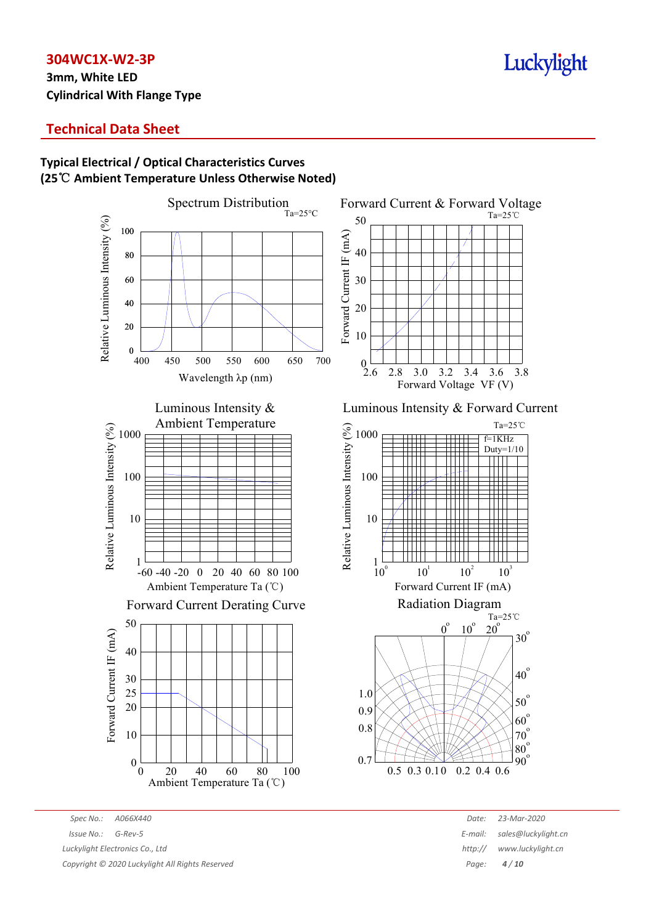## **3mm, White LED Cylindrical With Flange Type**

## Luckylight

## **Technical Data Sheet**

#### Spectrum Distribution Forward Current & Forward Voltage  $Ta=25^{\circ}C$ Ta=25℃ Relative Luminous Intensity (%) Relative Luminous Intensity (%) 50 100 Forward Current IF (mA) Forward Current IF (mA) 40 80 60 30 40 20 20 10  $_{400}^{0}$  400 450 500 550 600 650 700  $\overline{0}$ 2.8 3.0 3.2 3.4 3.6 3.8 2.6 Wavelength λp (nm) Forward Voltage VF (V)Luminous Intensity & Ambient Temperature Ta=25℃ Relative Luminous Intensity (%) Relative Luminous Intensity (%) 1000 1000 f=1KHz Duty=1/10 100 100  $\sqrt{11}$ 10 10 1 1  $10^{1}$  $10^{2}$  $10^{\circ}$  $10<sup>3</sup>$ -60 -40 -20 0 20 40 60 80 100 Ambient Temperature Ta (℃) Forward Current IF (mA) Radiation Diagram Forward Current Derating Curve Ta=25℃ 50  $\overline{0}^{\circ}$  $20^\circ$  $10<sup>6</sup>$ Forward Current IF (mA) Forward Current IF (mA)  $30^\circ$ 40  $40^\circ$ 30 25 1.0 50<sup>o</sup> 20 0.9  $60^\circ$ 0.8  $70^{\circ}$ 10  $80^{\circ}$  $\frac{90}{90}$ 0.7 0  $\theta$ 20 40 60 80 100 0.3 0.5 0.10 0.2 0.4 0.6 Ambient Temperature Ta (℃)

#### **Typical Electrical / Optical Characteristics Curves (25**℃ **Ambient Temperature Unless Otherwise Noted)**

*Spec No.: A066X440 Date: 23-Mar-2020 Issue No.: G-Rev-5 E-mail: sales@luckylight.cn Luckylight Electronics Co., Ltd http:// www.luckylight.cn Copyright © 2020 Luckylight All Rights Reserved Page: 4 / 10*

Luminous Intensity & Forward Current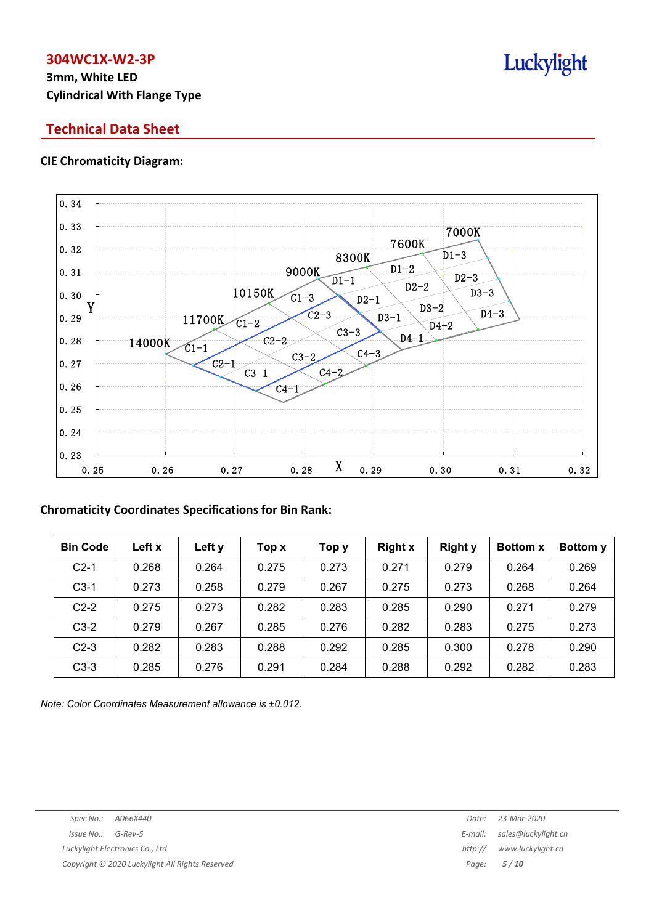## **3mm, White LED Cylindrical With Flange Type**

## **Technical Data Sheet**

#### **CIE Chromaticity Diagram:**



#### **Chromaticity Coordinates Specifications for Bin Rank:**

| <b>Bin Code</b> | Left x | Left y | Top x | Тор у | <b>Right x</b> | <b>Right y</b> | <b>Bottom x</b> | Bottom y |
|-----------------|--------|--------|-------|-------|----------------|----------------|-----------------|----------|
| $C2-1$          | 0.268  | 0.264  | 0.275 | 0.273 | 0.271          | 0.279          | 0.264           | 0.269    |
| $C3-1$          | 0.273  | 0.258  | 0.279 | 0.267 | 0.275          | 0.273          | 0.268           | 0.264    |
| $C2-2$          | 0.275  | 0.273  | 0.282 | 0.283 | 0.285          | 0.290          | 0.271           | 0.279    |
| $C3-2$          | 0.279  | 0.267  | 0.285 | 0.276 | 0.282          | 0.283          | 0.275           | 0.273    |
| $C2-3$          | 0.282  | 0.283  | 0.288 | 0.292 | 0.285          | 0.300          | 0.278           | 0.290    |
| $C3-3$          | 0.285  | 0.276  | 0.291 | 0.284 | 0.288          | 0.292          | 0.282           | 0.283    |

*Note: Color Coordinates Measurement allowance is ±0.012.*

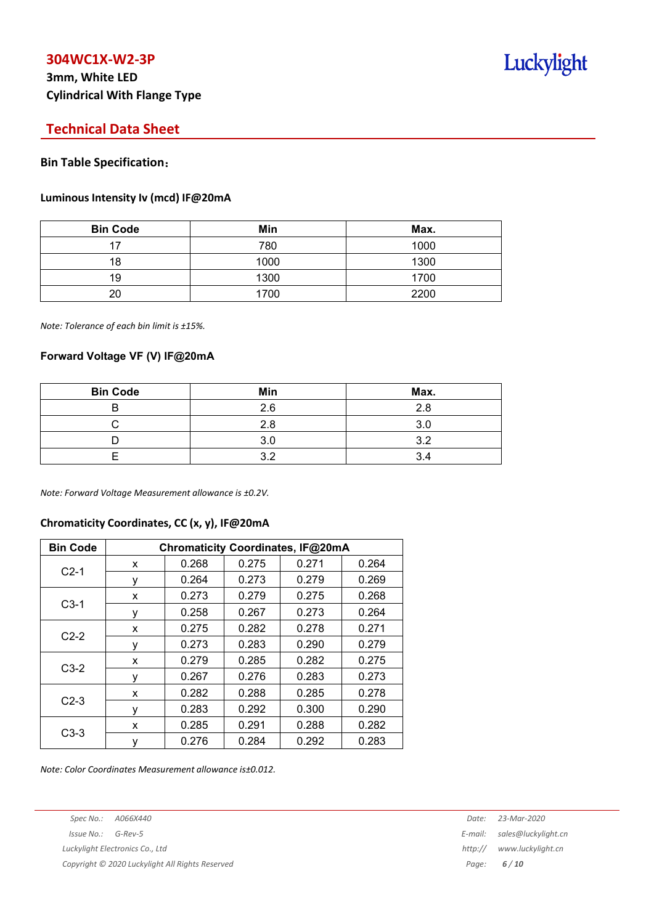## **3mm, White LED Cylindrical With Flange Type**

## Luckylight

## **Technical Data Sheet**

#### **Bin Table Specification**:

#### **Luminous Intensity Iv (mcd) IF@20mA**

| <b>Bin Code</b> | Min  | Max. |
|-----------------|------|------|
| 17              | 780  | 1000 |
| 18              | 1000 | 1300 |
| 19              | 1300 | 1700 |
| 20              | 1700 | 2200 |

*Note: Tolerance of each bin limit is ±15%.*

#### **Forward Voltage VF (V) IF@20mA**

| <b>Bin Code</b> | Min | Max. |
|-----------------|-----|------|
|                 | 2.6 | 2.8  |
|                 | 2.8 |      |
|                 | 3.0 | າາ   |
|                 | ົ   |      |

*Note: Forward Voltage Measurement allowance is ±0.2V.*

#### **Chromaticity Coordinates, CC (x, y), IF@20mA**

| <b>Bin Code</b> | Chromaticity Coordinates, IF@20mA |       |       |       |       |  |  |
|-----------------|-----------------------------------|-------|-------|-------|-------|--|--|
| $C2-1$          | x                                 | 0.268 | 0.275 | 0.271 | 0.264 |  |  |
|                 | ٧                                 | 0.264 | 0.273 | 0.279 | 0.269 |  |  |
|                 | X                                 | 0.273 | 0.279 | 0.275 | 0.268 |  |  |
| $C3-1$          | ٧                                 | 0.258 | 0.267 | 0.273 | 0.264 |  |  |
| $C2-2$          | x                                 | 0.275 | 0.282 | 0.278 | 0.271 |  |  |
|                 | ٧                                 | 0.273 | 0.283 | 0.290 | 0.279 |  |  |
|                 | x                                 | 0.279 | 0.285 | 0.282 | 0.275 |  |  |
| $C3-2$          | ٧                                 | 0.267 | 0.276 | 0.283 | 0.273 |  |  |
| $C2-3$          | x                                 | 0.282 | 0.288 | 0.285 | 0.278 |  |  |
|                 | ٧                                 | 0.283 | 0.292 | 0.300 | 0.290 |  |  |
| $C3-3$          | x                                 | 0.285 | 0.291 | 0.288 | 0.282 |  |  |
|                 | ٧                                 | 0.276 | 0.284 | 0.292 | 0.283 |  |  |

*Note: Color Coordinates Measurement allowance is±0.012.*

*Luckylight Electronics Co., Ltd http:// www.luckylight.cn*

*Copyright © 2020 Luckylight All Rights Reserved Page: 6 / 10*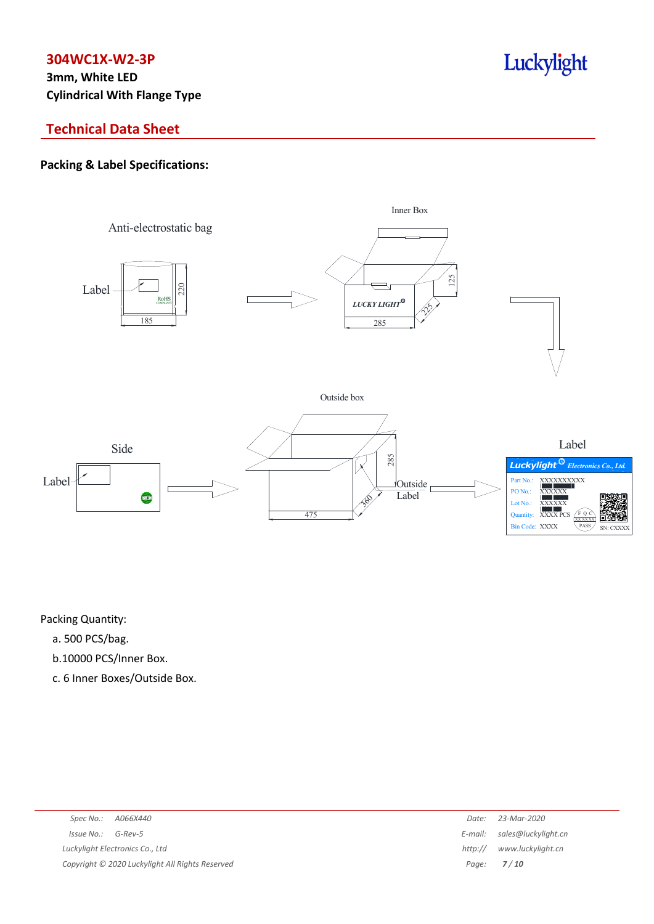**3mm, White LED Cylindrical With Flange Type**

## **Technical Data Sheet**

### **Packing & Label Specifications:**



Luckylight

Packing Quantity:

- a. 500 PCS/bag.
- b.10000 PCS/Inner Box.
- c. 6 Inner Boxes/Outside Box.

|                                                 | Date:   | 23-Mar-2020                 |
|-------------------------------------------------|---------|-----------------------------|
| Issue No.: G-Rev-5                              |         | E-mail: sales@luckylight.cn |
| Luckylight Electronics Co., Ltd                 | http:// | www.luckylight.cn           |
| Copyright © 2020 Luckylight All Rights Reserved |         | Page: <b>7/10</b>           |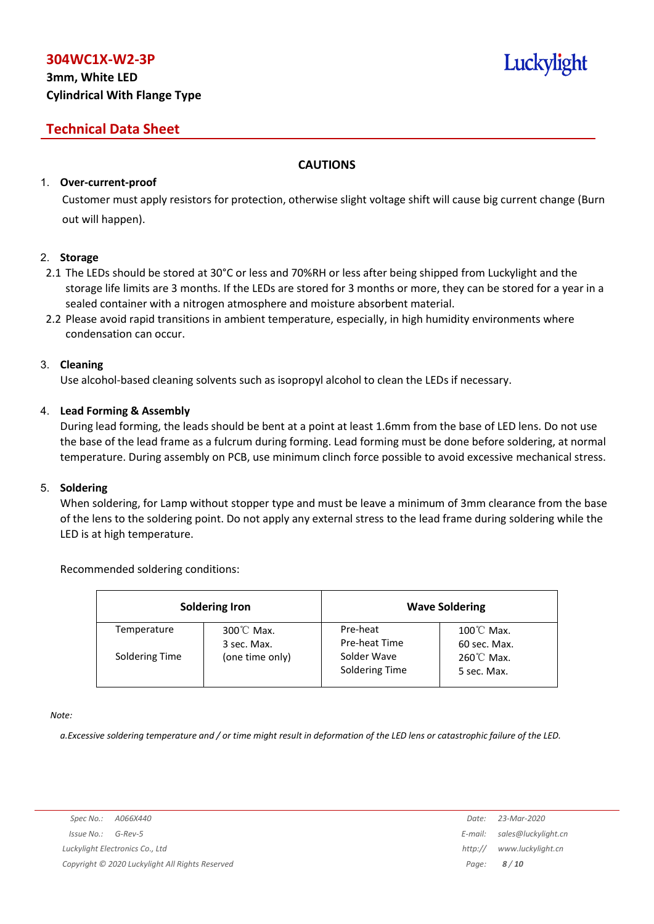## **3mm, White LED Cylindrical With Flange Type**

## **Technical Data Sheet**

#### **CAUTIONS**

#### 1. **Over-current-proof**

Customer must apply resistors for protection, otherwise slight voltage shift will cause big current change (Burn out will happen).

#### 2. **Storage**

- 2.1 The LEDs should be stored at 30°C or less and 70%RH or less after being shipped from Luckylight and the storage life limits are 3 months. If the LEDs are stored for 3 months or more, they can be stored for a year in a sealed container with a nitrogen atmosphere and moisture absorbent material.
- 2.2 Please avoid rapid transitions in ambient temperature, especially, in high humidity environments where condensation can occur.

#### 3. **Cleaning**

Use alcohol-based cleaning solvents such as isopropyl alcohol to clean the LEDs if necessary.

#### 4. **Lead Forming & Assembly**

During lead forming, the leads should be bent at a point at least 1.6mm from the base of LED lens. Do not use the base of the lead frame as a fulcrum during forming. Lead forming must be done before soldering, at normal temperature. During assembly on PCB, use minimum clinch force possible to avoid excessive mechanical stress.

#### 5. **Soldering**

When soldering, for Lamp without stopper type and must be leave a minimum of 3mm clearance from the base of the lens to the soldering point. Do not apply any external stress to the lead frame during soldering while the LED is at high temperature.

#### Recommended soldering conditions:

| <b>Soldering Iron</b> |                          |                               | <b>Wave Soldering</b>                |
|-----------------------|--------------------------|-------------------------------|--------------------------------------|
| Temperature           | 300℃ Max.<br>3 sec. Max. | Pre-heat<br>Pre-heat Time     | $100^{\circ}$ C Max.<br>60 sec. Max. |
| Soldering Time        | (one time only)          | Solder Wave<br>Soldering Time | $260^{\circ}$ C Max.<br>5 sec. Max.  |

*Note:*

a. Excessive soldering temperature and / or time might result in deformation of the LED lens or catastrophic failure of the LED.

Luckylight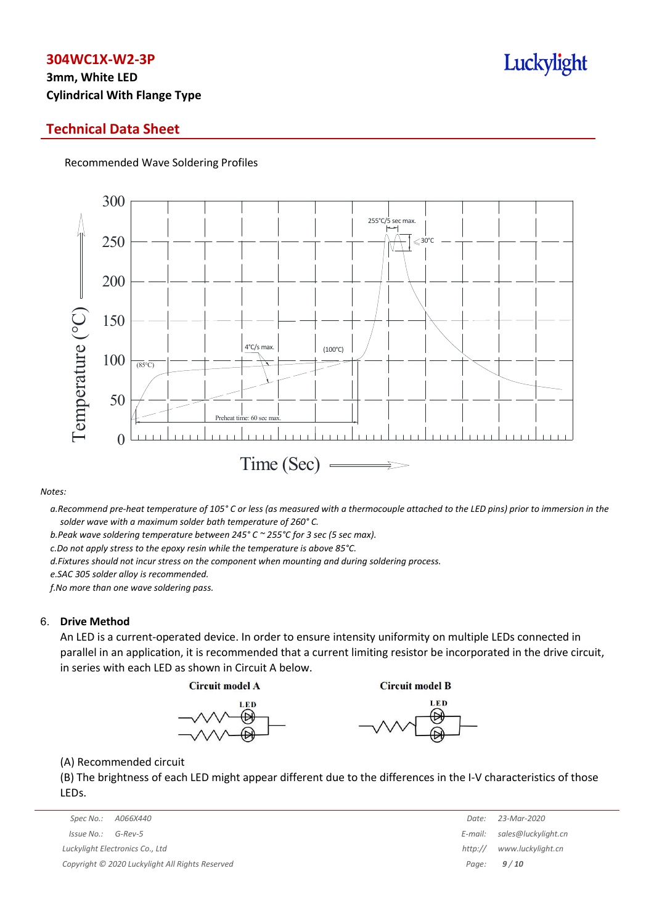## **3mm, White LED Cylindrical With Flange Type**

### **Technical Data Sheet**

Recommended Wave Soldering Profiles



#### *Notes:*

a. Recommend pre-heat temperature of 105° C or less (as measured with a thermocouple attached to the LED pins) prior to immersion in the *solder wave with a maximum solder bath temperature of 260° C.*

*b.Peak wave soldering temperature between 245° C ~ 255°C for 3 sec (5 sec max).*

*c.Do not apply stress to the epoxy resin while the temperature is above 85°C.*

*d.Fixtures should not incur stress on the component when mounting and during soldering process.*

*e.SAC 305 solder alloy is recommended.*

*f.No more than one wave soldering pass.*

#### 6. **Drive Method**

An LED is a current-operated device. In order to ensure intensity uniformity on multiple LEDs connected in parallel in an application, it is recommended that a current limiting resistor be incorporated in the drive circuit, in series with each LED as shown in Circuit A below.

**Circuit model A** 

**Circuit model B** 





(A) Recommended circuit

(B) The brightness of each LED might appear different due to the differences in the I-V characteristics of those LEDs.

| Spec No.:<br>A066X440                           | Date:   | 23-Mar-2020                 |
|-------------------------------------------------|---------|-----------------------------|
| Issue No.:<br>G-Rev-5                           |         | E-mail: sales@luckylight.cn |
| Luckylight Electronics Co., Ltd                 | http:// | www.luckylight.cn           |
| Copyright © 2020 Luckylight All Rights Reserved |         | Page: $9/10$                |

| Date:   | 23-Mar-2020         |
|---------|---------------------|
| E-mail: | sales@luckylight.cn |
| http:// | www.luckylight.cn   |
| Page:   | 9/10                |

## Luckylight